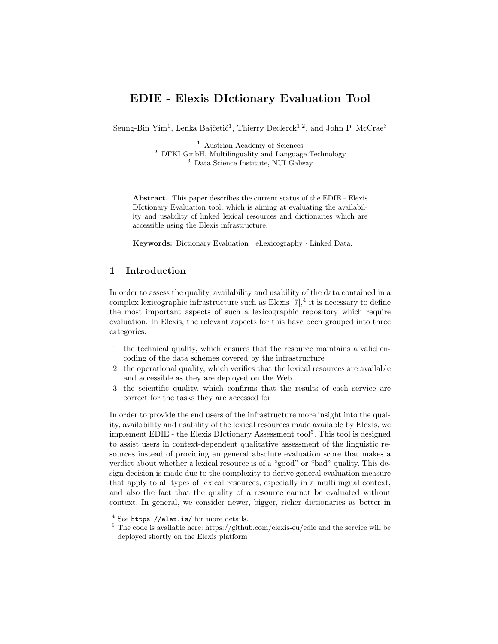# EDIE - Elexis DIctionary Evaluation Tool

Seung-Bin Yim<sup>1</sup>, Lenka Bajčetić<sup>1</sup>, Thierry Declerck<sup>1,2</sup>, and John P. McCrae<sup>3</sup>

<sup>1</sup> Austrian Academy of Sciences <sup>2</sup> DFKI GmbH, Multilinguality and Language Technology <sup>3</sup> Data Science Institute, NUI Galway

Abstract. This paper describes the current status of the EDIE - Elexis DIctionary Evaluation tool, which is aiming at evaluating the availability and usability of linked lexical resources and dictionaries which are accessible using the Elexis infrastructure.

Keywords: Dictionary Evaluation · eLexicography · Linked Data.

### 1 Introduction

In order to assess the quality, availability and usability of the data contained in a complex lexicographic infrastructure such as Elexis  $[7],$ <sup>4</sup> it is necessary to define the most important aspects of such a lexicographic repository which require evaluation. In Elexis, the relevant aspects for this have been grouped into three categories:

- 1. the technical quality, which ensures that the resource maintains a valid encoding of the data schemes covered by the infrastructure
- 2. the operational quality, which verifies that the lexical resources are available and accessible as they are deployed on the Web
- 3. the scientific quality, which confirms that the results of each service are correct for the tasks they are accessed for

In order to provide the end users of the infrastructure more insight into the quality, availability and usability of the lexical resources made available by Elexis, we implement EDIE - the Elexis DIctionary Assessment tool<sup>5</sup>. This tool is designed to assist users in context-dependent qualitative assessment of the linguistic resources instead of providing an general absolute evaluation score that makes a verdict about whether a lexical resource is of a "good" or "bad" quality. This design decision is made due to the complexity to derive general evaluation measure that apply to all types of lexical resources, especially in a multilingual context, and also the fact that the quality of a resource cannot be evaluated without context. In general, we consider newer, bigger, richer dictionaries as better in

<sup>4</sup> See https://elex.is/ for more details.

 $5$  The code is available here: https://github.com/elexis-eu/edie and the service will be deployed shortly on the Elexis platform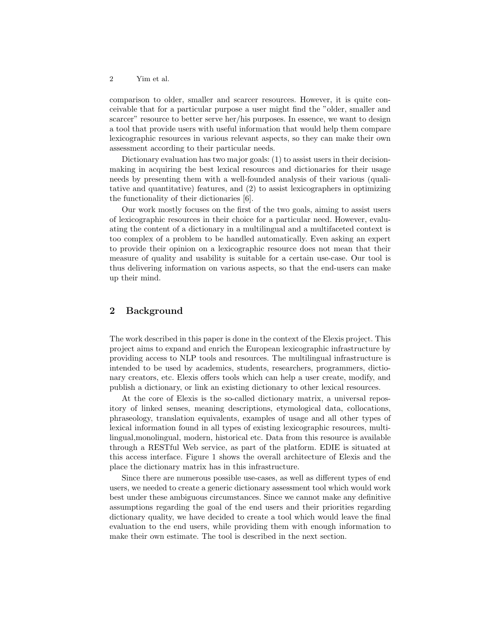comparison to older, smaller and scarcer resources. However, it is quite conceivable that for a particular purpose a user might find the "older, smaller and scarcer" resource to better serve her/his purposes. In essence, we want to design a tool that provide users with useful information that would help them compare lexicographic resources in various relevant aspects, so they can make their own assessment according to their particular needs.

Dictionary evaluation has two major goals: (1) to assist users in their decisionmaking in acquiring the best lexical resources and dictionaries for their usage needs by presenting them with a well-founded analysis of their various (qualitative and quantitative) features, and (2) to assist lexicographers in optimizing the functionality of their dictionaries [6].

Our work mostly focuses on the first of the two goals, aiming to assist users of lexicographic resources in their choice for a particular need. However, evaluating the content of a dictionary in a multilingual and a multifaceted context is too complex of a problem to be handled automatically. Even asking an expert to provide their opinion on a lexicographic resource does not mean that their measure of quality and usability is suitable for a certain use-case. Our tool is thus delivering information on various aspects, so that the end-users can make up their mind.

# 2 Background

The work described in this paper is done in the context of the Elexis project. This project aims to expand and enrich the European lexicographic infrastructure by providing access to NLP tools and resources. The multilingual infrastructure is intended to be used by academics, students, researchers, programmers, dictionary creators, etc. Elexis offers tools which can help a user create, modify, and publish a dictionary, or link an existing dictionary to other lexical resources.

At the core of Elexis is the so-called dictionary matrix, a universal repository of linked senses, meaning descriptions, etymological data, collocations, phraseology, translation equivalents, examples of usage and all other types of lexical information found in all types of existing lexicographic resources, multilingual,monolingual, modern, historical etc. Data from this resource is available through a RESTful Web service, as part of the platform. EDIE is situated at this access interface. Figure 1 shows the overall architecture of Elexis and the place the dictionary matrix has in this infrastructure.

Since there are numerous possible use-cases, as well as different types of end users, we needed to create a generic dictionary assessment tool which would work best under these ambiguous circumstances. Since we cannot make any definitive assumptions regarding the goal of the end users and their priorities regarding dictionary quality, we have decided to create a tool which would leave the final evaluation to the end users, while providing them with enough information to make their own estimate. The tool is described in the next section.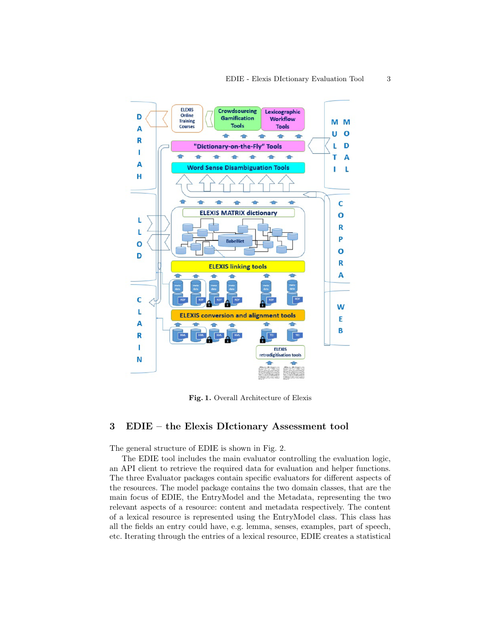

Fig. 1. Overall Architecture of Elexis

# 3 EDIE – the Elexis DIctionary Assessment tool

The general structure of EDIE is shown in Fig. 2.

The EDIE tool includes the main evaluator controlling the evaluation logic, an API client to retrieve the required data for evaluation and helper functions. The three Evaluator packages contain specific evaluators for different aspects of the resources. The model package contains the two domain classes, that are the main focus of EDIE, the EntryModel and the Metadata, representing the two relevant aspects of a resource: content and metadata respectively. The content of a lexical resource is represented using the EntryModel class. This class has all the fields an entry could have, e.g. lemma, senses, examples, part of speech, etc. Iterating through the entries of a lexical resource, EDIE creates a statistical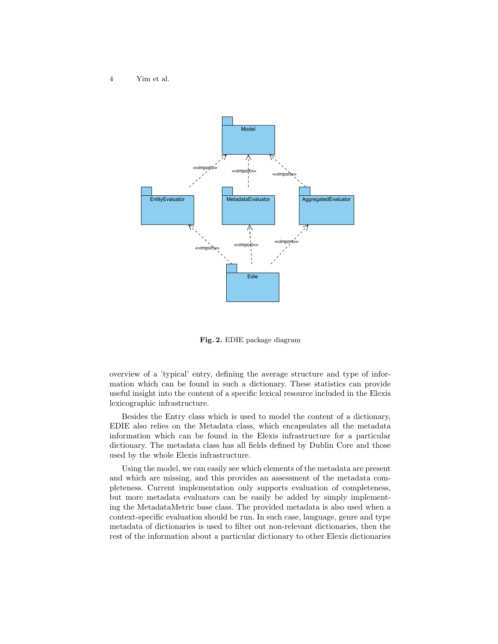#### 4 Yim et al.



Fig. 2. EDIE package diagram

overview of a 'typical' entry, defining the average structure and type of information which can be found in such a dictionary. These statistics can provide useful insight into the content of a specific lexical resource included in the Elexis lexicographic infrastructure.

Besides the Entry class which is used to model the content of a dictionary, EDIE also relies on the Metadata class, which encapsulates all the metadata information which can be found in the Elexis infrastructure for a particular dictionary. The metadata class has all fields defined by Dublin Core and those used by the whole Elexis infrastructure.

Using the model, we can easily see which elements of the metadata are present and which are missing, and this provides an assessment of the metadata completeness. Current implementation only supports evaluation of completeness, but more metadata evaluators can be easily be added by simply implementing the MetadataMetric base class. The provided metadata is also used when a context-specific evaluation should be run. In such case, language, genre and type metadata of dictionaries is used to filter out non-relevant dictionaries, then the rest of the information about a particular dictionary to other Elexis dictionaries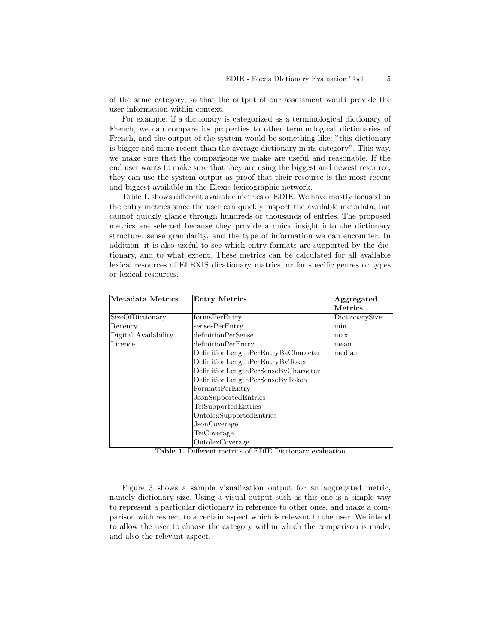of the same category, so that the output of our assessment would provide the user information within context.

For example, if a dictionary is categorized as a terminological dictionary of French, we can compare its properties to other terminological dictionaries of French, and the output of the system would be something like: "this dictionary is bigger and more recent than the average dictionary in its category". This way, we make sure that the comparisons we make are useful and reasonable. If the end user wants to make sure that they are using the biggest and newest resource, they can use the system output as proof that their resource is the most recent and biggest available in the Elexis lexicographic network.

Table 1. shows different available metrics of EDIE. We have mostly focused on the entry metrics since the user can quickly inspect the available metadata, but cannot quickly glance through hundreds or thousands of entries. The proposed metrics are selected because they provide a quick insight into the dictionary structure, sense granularity, and the type of information we can encounter. In addition, it is also useful to see which entry formats are supported by the dictionary, and to what extent. These metrics can be calculated for all available lexical resources of ELEXIS dicationary matrics, or for specific genres or types or lexical resources.

| Metadata Metrics     | <b>Entry Metrics</b>                | Aggregated      |
|----------------------|-------------------------------------|-----------------|
|                      |                                     | <b>Metrics</b>  |
| SizeOfDictionary     | formsPerEntry                       | DictionarySize: |
| Recency              | sensesPerEntry                      | min             |
| Digital Availability | definitionPerSense                  | max             |
| Licence              | definitionPerEntry                  | mean            |
|                      | DefinitionLengthPerEntryBaCharacter | median          |
|                      | DefinitionLengthPerEntryByToken     |                 |
|                      | DefinitionLengthPerSenseByCharacter |                 |
|                      | DefinitionLengthPerSenseByToken     |                 |
|                      | FormatsPerEntry                     |                 |
|                      | JsonSupportedEntries                |                 |
|                      | TeiSupportedEntries                 |                 |
|                      | OntolexSupportedEntries             |                 |
|                      | <b>J</b> sonCoverage                |                 |
|                      | TeiCoverage                         |                 |
|                      | OntolexCoverage                     |                 |

Table 1. Different metrics of EDIE Dictionary evaluation

Figure 3 shows a sample visualization output for an aggregated metric, namely dictionary size. Using a visual output such as this one is a simple way to represent a particular dictionary in reference to other ones, and make a comparison with respect to a certain aspect which is relevant to the user. We intend to allow the user to choose the category within which the comparison is made, and also the relevant aspect.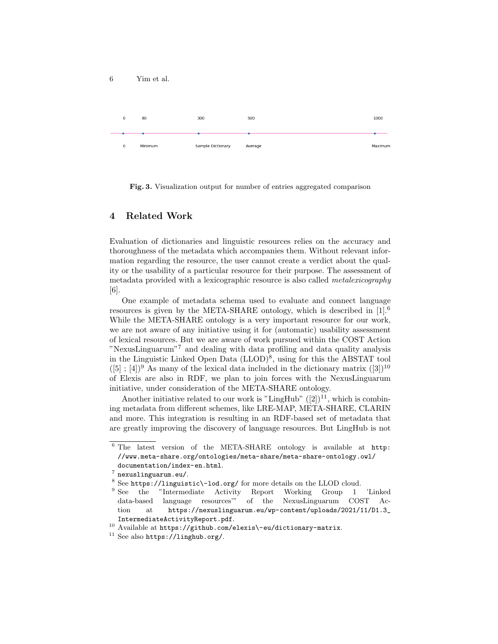| 6 |             | Yim et al. |                   |         |         |
|---|-------------|------------|-------------------|---------|---------|
|   |             |            |                   |         |         |
|   | $\mathsf 0$ | 80         | 300               | 500     | 1000    |
|   |             |            |                   |         |         |
|   | $\circ$     | Minimum    | Sample Dictionary | Average | Maximum |

Fig. 3. Visualization output for number of entries aggregated comparison

## 4 Related Work

Evaluation of dictionaries and linguistic resources relies on the accuracy and thoroughness of the metadata which accompanies them. Without relevant information regarding the resource, the user cannot create a verdict about the quality or the usability of a particular resource for their purpose. The assessment of metadata provided with a lexicographic resource is also called metalexicography [6].

One example of metadata schema used to evaluate and connect language resources is given by the META-SHARE ontology, which is described in  $[1]$ .<sup>6</sup> While the META-SHARE ontology is a very important resource for our work, we are not aware of any initiative using it for (automatic) usability assessment of lexical resources. But we are aware of work pursued within the COST Action "NexusLinguarum"<sup>7</sup> and dealing with data profiling and data quality analysis in the Linguistic Linked Open Data  $(LLOD)^8$ , using for this the ABSTAT tool  $([5]$ ; [4])<sup>9</sup> As many of the lexical data included in the dictionary matrix  $([3])^{10}$ of Elexis are also in RDF, we plan to join forces with the NexusLinguarum initiative, under consideration of the META-SHARE ontology.

Another initiative related to our work is "LingHub"  $([2])^{11}$ , which is combining metadata from different schemes, like LRE-MAP, META-SHARE, CLARIN and more. This integration is resulting in an RDF-based set of metadata that are greatly improving the discovery of language resources. But LingHub is not

<sup>6</sup> The latest version of the META-SHARE ontology is available at http: //www.meta-share.org/ontologies/meta-share/meta-share-ontology.owl/ documentation/index-en.html.

<sup>7</sup> nexuslinguarum.eu/.

<sup>&</sup>lt;sup>8</sup> See https://linguistic\-lod.org/ for more details on the LLOD cloud.<br><sup>9</sup> See the "Intermediate Activity Report Working Group 1

the "Intermediate Activity Report Working Group 1 'Linked data-based language resources'" of the NexusLinguarum COST Action at https://nexuslinguarum.eu/wp-content/uploads/2021/11/D1.3\_ IntermediateActivityReport.pdf.

 $^{10}$  Available at  $\texttt{https://github.com/elexis\--eu/dictionary-matrix}.$ 

 $11$  See also https://linghub.org/.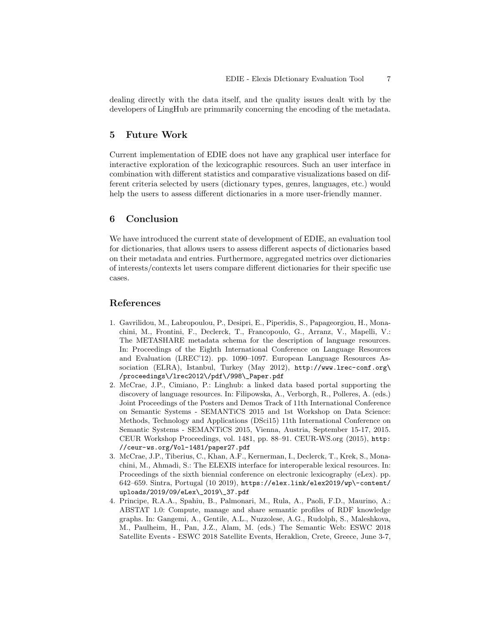dealing directly with the data itself, and the quality issues dealt with by the developers of LingHub are primmarily concerning the encoding of the metadata.

### 5 Future Work

Current implementation of EDIE does not have any graphical user interface for interactive exploration of the lexicographic resources. Such an user interface in combination with different statistics and comparative visualizations based on different criteria selected by users (dictionary types, genres, languages, etc.) would help the users to assess different dictionaries in a more user-friendly manner.

### 6 Conclusion

We have introduced the current state of development of EDIE, an evaluation tool for dictionaries, that allows users to assess different aspects of dictionaries based on their metadata and entries. Furthermore, aggregated metrics over dictionaries of interests/contexts let users compare different dictionaries for their specific use cases.

# References

- 1. Gavrilidou, M., Labropoulou, P., Desipri, E., Piperidis, S., Papageorgiou, H., Monachini, M., Frontini, F., Declerck, T., Francopoulo, G., Arranz, V., Mapelli, V.: The METASHARE metadata schema for the description of language resources. In: Proceedings of the Eighth International Conference on Language Resources and Evaluation (LREC'12). pp. 1090–1097. European Language Resources Association (ELRA), Istanbul, Turkey (May 2012), http://www.lrec-conf.org\ /proceedings\/lrec2012\/pdf\/998\\_Paper.pdf
- 2. McCrae, J.P., Cimiano, P.: Linghub: a linked data based portal supporting the discovery of language resources. In: Filipowska, A., Verborgh, R., Polleres, A. (eds.) Joint Proceedings of the Posters and Demos Track of 11th International Conference on Semantic Systems - SEMANTiCS 2015 and 1st Workshop on Data Science: Methods, Technology and Applications (DSci15) 11th International Conference on Semantic Systems - SEMANTiCS 2015, Vienna, Austria, September 15-17, 2015. CEUR Workshop Proceedings, vol. 1481, pp. 88–91. CEUR-WS.org (2015), http: //ceur-ws.org/Vol-1481/paper27.pdf
- 3. McCrae, J.P., Tiberius, C., Khan, A.F., Kernerman, I., Declerck, T., Krek, S., Monachini, M., Ahmadi, S.: The ELEXIS interface for interoperable lexical resources. In: Proceedings of the sixth biennial conference on electronic lexicography (eLex). pp. 642–659. Sintra, Portugal (10 2019), https://elex.link/elex2019/wp\-content/ uploads/2019/09/eLex\\_2019\\_37.pdf
- 4. Principe, R.A.A., Spahiu, B., Palmonari, M., Rula, A., Paoli, F.D., Maurino, A.: ABSTAT 1.0: Compute, manage and share semantic profiles of RDF knowledge graphs. In: Gangemi, A., Gentile, A.L., Nuzzolese, A.G., Rudolph, S., Maleshkova, M., Paulheim, H., Pan, J.Z., Alam, M. (eds.) The Semantic Web: ESWC 2018 Satellite Events - ESWC 2018 Satellite Events, Heraklion, Crete, Greece, June 3-7,